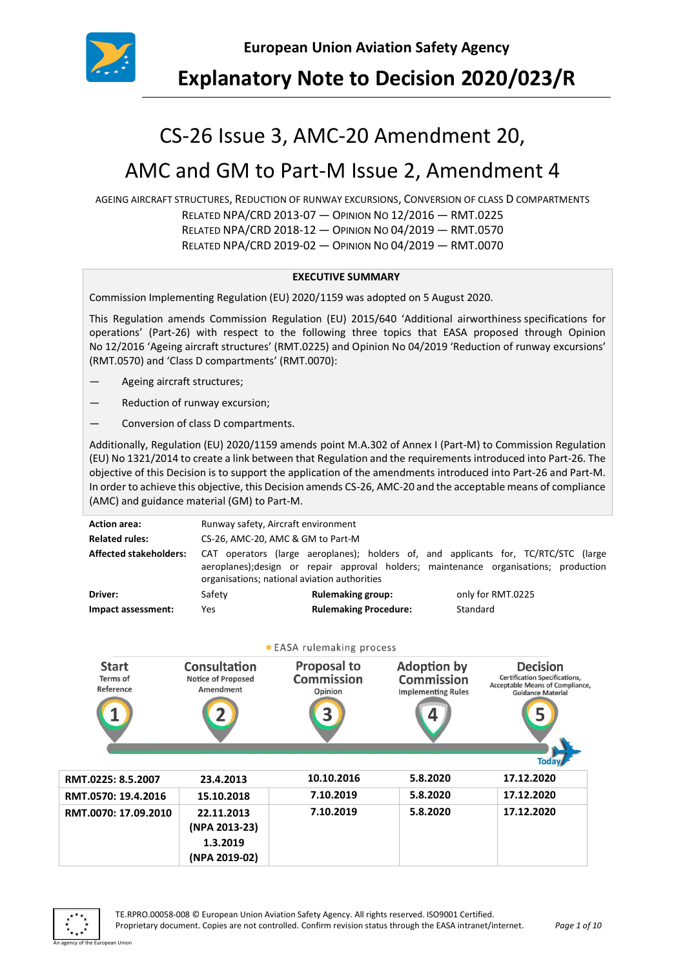

# **Explanatory Note to Decision 2020/023/R**

# CS-26 Issue 3, AMC-20 Amendment 20,

# AMC and GM to Part-M Issue 2, Amendment 4

AGEING AIRCRAFT STRUCTURES, REDUCTION OF RUNWAY EXCURSIONS, CONVERSION OF CLASS D COMPARTMENTS

RELATED NPA/CRD 2013-07 — OPINION NO 12/2016 — RMT.0225

RELATED NPA/CRD 2018-12 — OPINION NO 04/2019 — RMT.0570 RELATED NPA/CRD 2019-02 — OPINION NO 04/2019 — RMT.0070

### **EXECUTIVE SUMMARY**

Commission Implementing Regulation (EU) 2020/1159 was adopted on 5 August 2020.

This Regulation amends Commission Regulation (EU) 2015/640 'Additional airworthiness specifications for operations' ([Part-26\)](https://www.easa.europa.eu/document-library/regulations/commission-regulation-eu-2015640) with respect to the following three topics that EASA proposed through Opinion No [12/2016](https://www.easa.europa.eu/document-library/opinions/opinion-122016) 'Ageing aircraft structures' (RMT.0225) and Opinion No [04/2019](https://www.easa.europa.eu/document-library/opinions/opinion-042019) 'Reduction of runway excursions' (RMT.0570) and 'Class D compartments' (RMT.0070):

- Ageing aircraft structures;
- Reduction of runway excursion;
- Conversion of class D compartments.

Additionally, Regulation (EU) 2020/1159 amends point M.A.302 of Annex I (Part-M) to Commission Regulation (EU) No 1321/2014 to create a link between that Regulation and the requirements introduced into Part-26. The objective of this Decision is to support the application of the amendments introduced into Part-26 and Part-M. In order to achieve this objective, this Decision amends CS-26, AMC-20 and the acceptable means of compliance (AMC) and guidance material (GM) to Part-M.

| <b>Action area:</b>           | Runway safety, Aircraft environment          |                              |                                                                                                                                                                              |  |
|-------------------------------|----------------------------------------------|------------------------------|------------------------------------------------------------------------------------------------------------------------------------------------------------------------------|--|
| <b>Related rules:</b>         | CS-26, AMC-20, AMC & GM to Part-M            |                              |                                                                                                                                                                              |  |
| <b>Affected stakeholders:</b> | organisations; national aviation authorities |                              | CAT operators (large aeroplanes); holders of, and applicants for, TC/RTC/STC (large<br>aeroplanes); design or repair approval holders; maintenance organisations; production |  |
| Driver:                       | Safety                                       | <b>Rulemaking group:</b>     | only for RMT.0225                                                                                                                                                            |  |
| Impact assessment:            | Yes                                          | <b>Rulemaking Procedure:</b> | Standard                                                                                                                                                                     |  |

|                                       |                                                        | • EASA rulemaking process                   |                                                                      |                                                                                                                        |
|---------------------------------------|--------------------------------------------------------|---------------------------------------------|----------------------------------------------------------------------|------------------------------------------------------------------------------------------------------------------------|
| <b>Start</b><br>Terms of<br>Reference | Consultation<br><b>Notice of Proposed</b><br>Amendment | <b>Proposal to</b><br>Commission<br>Opinion | <b>Adoption by</b><br><b>Commission</b><br><b>Implementing Rules</b> | <b>Decision</b><br><b>Certification Specifications,</b><br>Acceptable Means of Compliance,<br><b>Guidance Material</b> |
|                                       |                                                        |                                             |                                                                      | <b>Tod</b>                                                                                                             |
| RMT.0225: 8.5.2007                    | 23.4.2013                                              | 10.10.2016                                  | 5.8.2020                                                             | 17.12.2020                                                                                                             |
| RMT.0570: 19.4.2016                   | 15.10.2018                                             | 7.10.2019                                   | 5.8.2020                                                             | 17.12.2020                                                                                                             |
| RMT.0070: 17.09.2010                  | 22.11.2013<br>(NPA 2013-23)                            | 7.10.2019                                   | 5.8.2020                                                             | 17.12.2020                                                                                                             |
|                                       | 1.3.2019<br>(NPA 2019-02)                              |                                             |                                                                      |                                                                                                                        |

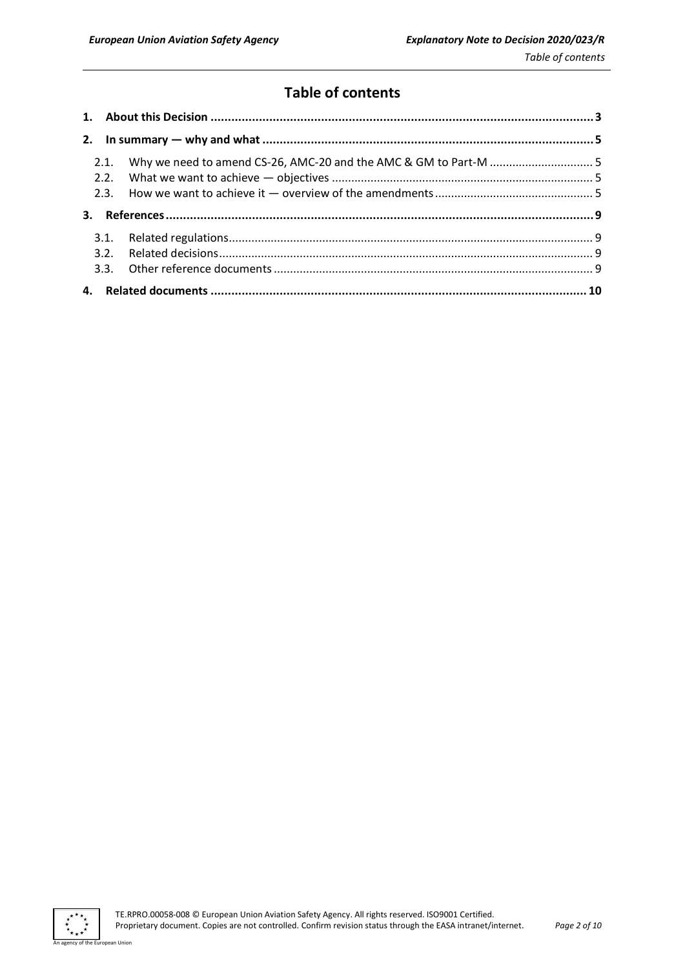# **Table of contents**

|  | 2.1. Why we need to amend CS-26, AMC-20 and the AMC & GM to Part-M 5 |  |
|--|----------------------------------------------------------------------|--|
|  |                                                                      |  |
|  |                                                                      |  |
|  |                                                                      |  |
|  |                                                                      |  |
|  |                                                                      |  |
|  |                                                                      |  |
|  |                                                                      |  |

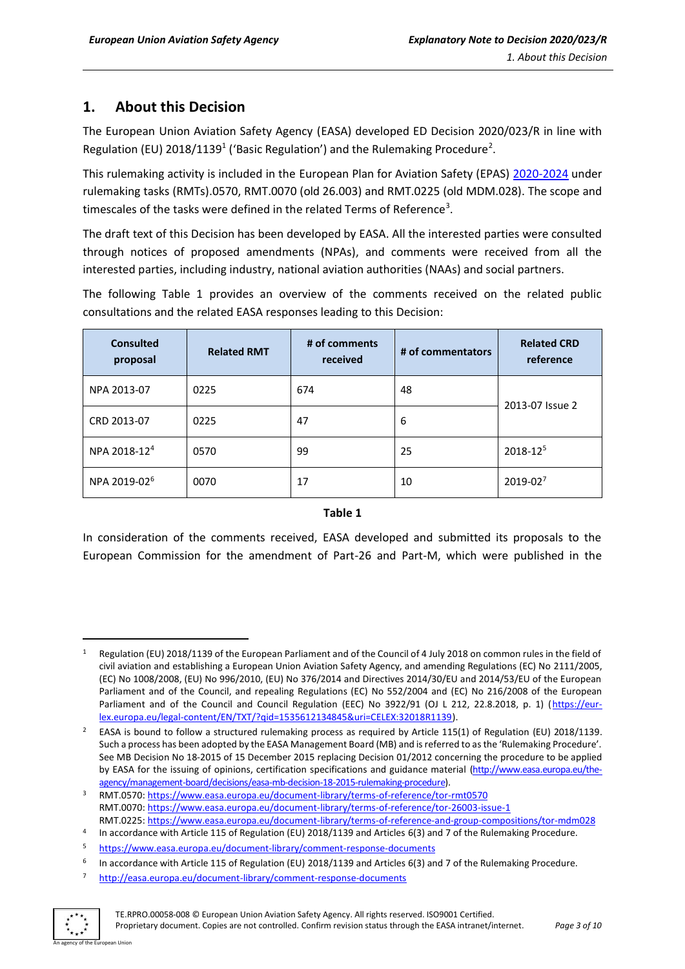# <span id="page-2-0"></span>**1. About this Decision**

The European Union Aviation Safety Agency (EASA) developed ED Decision 2020/023/R in line with Regulation (EU) 2018/1139<sup>1</sup> ('Basic Regulation') and the Rulemaking Procedure<sup>2</sup>.

This rulemaking activity is included in the European Plan for Aviation Safety (EPAS) [2020-2024](https://www.easa.europa.eu/sites/default/files/dfu/EPAS_2020-2024.pdf) under rulemaking tasks (RMTs).0570, RMT.0070 (old 26.003) and RMT.0225 (old MDM.028). The scope and timescales of the tasks were defined in the related Terms of Reference<sup>3</sup>.

The draft text of this Decision has been developed by EASA. All the interested parties were consulted through notices of proposed amendments (NPAs), and comments were received from all the interested parties, including industry, national aviation authorities (NAAs) and social partners.

The following Table 1 provides an overview of the comments received on the related public consultations and the related EASA responses leading to this Decision:

| <b>Consulted</b><br>proposal | <b>Related RMT</b> | # of comments<br>received | # of commentators | <b>Related CRD</b><br>reference |  |
|------------------------------|--------------------|---------------------------|-------------------|---------------------------------|--|
| NPA 2013-07                  | 0225               | 674                       | 48                | 2013-07 Issue 2                 |  |
| CRD 2013-07                  | 0225               | 47                        | 6                 |                                 |  |
| NPA 2018-124                 | 0570               | 99                        | 25                | 2018-125                        |  |
| NPA 2019-02 <sup>6</sup>     | 0070               | 17                        | 10                | 2019-027                        |  |

### **Table 1**

In consideration of the comments received, EASA developed and submitted its proposals to the European Commission for the amendment of Part-26 and Part-M, which were published in the

<sup>7</sup> <http://easa.europa.eu/document-library/comment-response-documents>



Regulation (EU) 2018/1139 of the European Parliament and of the Council of 4 July 2018 on common rules in the field of civil aviation and establishing a European Union Aviation Safety Agency, and amending Regulations (EC) No 2111/2005, (EC) No 1008/2008, (EU) No 996/2010, (EU) No 376/2014 and Directives 2014/30/EU and 2014/53/EU of the European Parliament and of the Council, and repealing Regulations (EC) No 552/2004 and (EC) No 216/2008 of the European Parliament and of the Council and Council Regulation (EEC) No 3922/91 (OJ L 212, 22.8.2018, p. 1) [\(https://eur](https://eur-lex.europa.eu/legal-content/EN/TXT/?qid=1535612134845&uri=CELEX:32018R1139)[lex.europa.eu/legal-content/EN/TXT/?qid=1535612134845&uri=CELEX:32018R1139\)](https://eur-lex.europa.eu/legal-content/EN/TXT/?qid=1535612134845&uri=CELEX:32018R1139).

<sup>&</sup>lt;sup>2</sup> EASA is bound to follow a structured rulemaking process as required by Article 115(1) of Regulation (EU) 2018/1139. Such a process has been adopted by the EASA Management Board (MB) and is referred to as the 'Rulemaking Procedure'. See MB Decision No 18-2015 of 15 December 2015 replacing Decision 01/2012 concerning the procedure to be applied by EASA for the issuing of opinions, certification specifications and guidance material [\(http://www.easa.europa.eu/the](http://www.easa.europa.eu/the-agency/management-board/decisions/easa-mb-decision-18-2015-rulemaking-procedure)[agency/management-board/decisions/easa-mb-decision-18-2015-rulemaking-procedure\)](http://www.easa.europa.eu/the-agency/management-board/decisions/easa-mb-decision-18-2015-rulemaking-procedure).

<sup>3</sup> RMT.0570[: https://www.easa.europa.eu/document-library/terms-of-reference/tor-rmt0570](https://www.easa.europa.eu/document-library/terms-of-reference/tor-rmt0570) RMT.0070[: https://www.easa.europa.eu/document-library/terms-of-reference/tor-26003-issue-1](https://www.easa.europa.eu/document-library/terms-of-reference/tor-26003-issue-1) RMT.0225: https://www.easa.europa.eu/document-library/terms-of-reference-and-group-compositions/tor-mdm028

<sup>4</sup> In accordance with Article 115 of Regulation (EU) 2018/1139 and Articles 6(3) and 7 of the Rulemaking Procedure.

<sup>5</sup> <https://www.easa.europa.eu/document-library/comment-response-documents>

<sup>6</sup> In accordance with Article 115 of Regulation (EU) 2018/1139 and Articles 6(3) and 7 of the Rulemaking Procedure.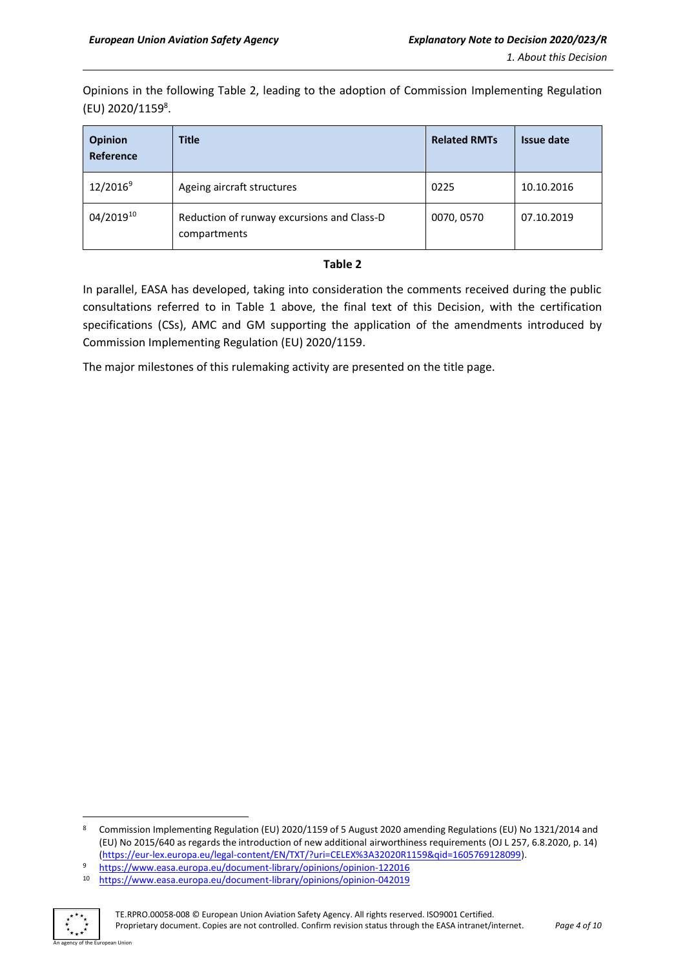Opinions in the following Table 2, leading to the adoption of Commission Implementing Regulation (EU) 2020/1159<sup>8</sup>.

| <b>Opinion</b><br>Reference | <b>Title</b>                                               | <b>Related RMTs</b> | <b>Issue date</b> |
|-----------------------------|------------------------------------------------------------|---------------------|-------------------|
| $12/2016^9$                 | Ageing aircraft structures                                 | 0225                | 10.10.2016        |
| 04/201910                   | Reduction of runway excursions and Class-D<br>compartments | 0070, 0570          | 07.10.2019        |

### **Table 2**

In parallel, EASA has developed, taking into consideration the comments received during the public consultations referred to in Table 1 above, the final text of this Decision, with the certification specifications (CSs), AMC and GM supporting the application of the amendments introduced by Commission Implementing Regulation (EU) 2020/1159.

The major milestones of this rulemaking activity are presented on the title page.

<sup>10</sup> https://www.easa.europa.eu/document-library/opinions/opinion-042019



<sup>8</sup> Commission Implementing Regulation (EU) 2020/1159 of 5 August 2020 amending Regulations (EU) No 1321/2014 and (EU) No 2015/640 as regards the introduction of new additional airworthiness requirements (OJ L 257, 6.8.2020, p. 14) [\(https://eur-lex.europa.eu/legal-content/EN/TXT/?uri=CELEX%3A32020R1159&qid=1605769128099\)](https://eur-lex.europa.eu/legal-content/EN/TXT/?uri=CELEX%3A32020R1159&qid=1605769128099).

<sup>9</sup> <https://www.easa.europa.eu/document-library/opinions/opinion-122016>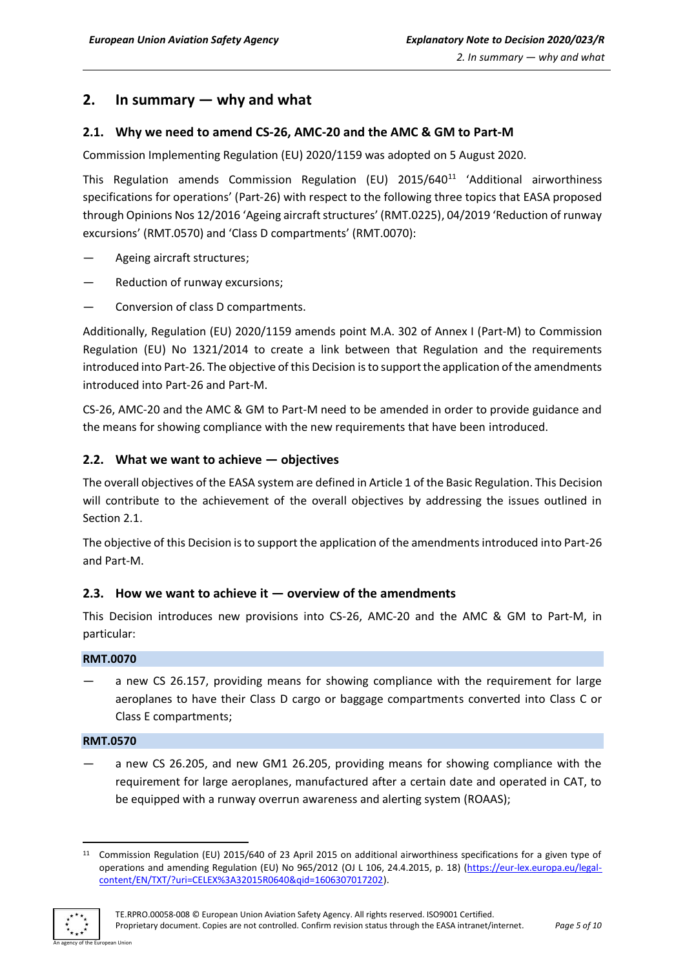# <span id="page-4-0"></span>**2. In summary — why and what**

## <span id="page-4-1"></span>**2.1. Why we need to amend CS-26, AMC-20 and the AMC & GM to Part-M**

Commission Implementing Regulation (EU) 2020/1159 was adopted on 5 August 2020.

This Regulation amends Commission Regulation (EU) 2015/640<sup>11</sup> 'Additional airworthiness specifications for operations' ([Part-26\)](https://www.easa.europa.eu/document-library/regulations/commission-regulation-eu-2015640) with respect to the following three topics that EASA proposed through Opinions No[s 12/2016](https://www.easa.europa.eu/document-library/opinions/opinion-122016) 'Ageing aircraft structures' (RMT.0225), [04/2019](https://www.easa.europa.eu/document-library/opinions/opinion-042019) 'Reduction of runway excursions' (RMT.0570) and 'Class D compartments' (RMT.0070):

- Ageing aircraft structures;
- Reduction of runway excursions;
- Conversion of class D compartments.

Additionally, Regulation (EU) 2020/1159 amends point M.A. 302 of Annex I (Part-M) to Commission Regulation (EU) No 1321/2014 to create a link between that Regulation and the requirements introduced into Part-26. The objective of this Decision is to support the application of the amendments introduced into Part-26 and Part-M.

CS-26, AMC-20 and the AMC & GM to Part-M need to be amended in order to provide guidance and the means for showing compliance with the new requirements that have been introduced.

### <span id="page-4-2"></span>**2.2. What we want to achieve — objectives**

The overall objectives of the EASA system are defined in Article 1 of the Basic Regulation. This Decision will contribute to the achievement of the overall objectives by addressing the issues outlined in Section 2.1.

The objective of this Decision is to support the application of the amendments introduced into Part-26 and Part-M.

## <span id="page-4-3"></span>**2.3. How we want to achieve it — overview of the amendments**

This Decision introduces new provisions into CS-26, AMC-20 and the AMC & GM to Part-M, in particular:

### **RMT.0070**

a new CS 26.157, providing means for showing compliance with the requirement for large aeroplanes to have their Class D cargo or baggage compartments converted into Class C or Class E compartments;

#### **RMT.0570**

— a new CS 26.205, and new GM1 26.205, providing means for showing compliance with the requirement for large aeroplanes, manufactured after a certain date and operated in CAT, to be equipped with a runway overrun awareness and alerting system (ROAAS);

<sup>11</sup> Commission Regulation (EU) 2015/640 of 23 April 2015 on additional airworthiness specifications for a given type of operations and amending Regulation (EU) No 965/2012 (OJ L 106, 24.4.2015, p. 18) [\(https://eur-lex.europa.eu/legal](https://eur-lex.europa.eu/legal-content/EN/TXT/?uri=CELEX%3A32015R0640&qid=1606307017202)[content/EN/TXT/?uri=CELEX%3A32015R0640&qid=1606307017202\)](https://eur-lex.europa.eu/legal-content/EN/TXT/?uri=CELEX%3A32015R0640&qid=1606307017202).

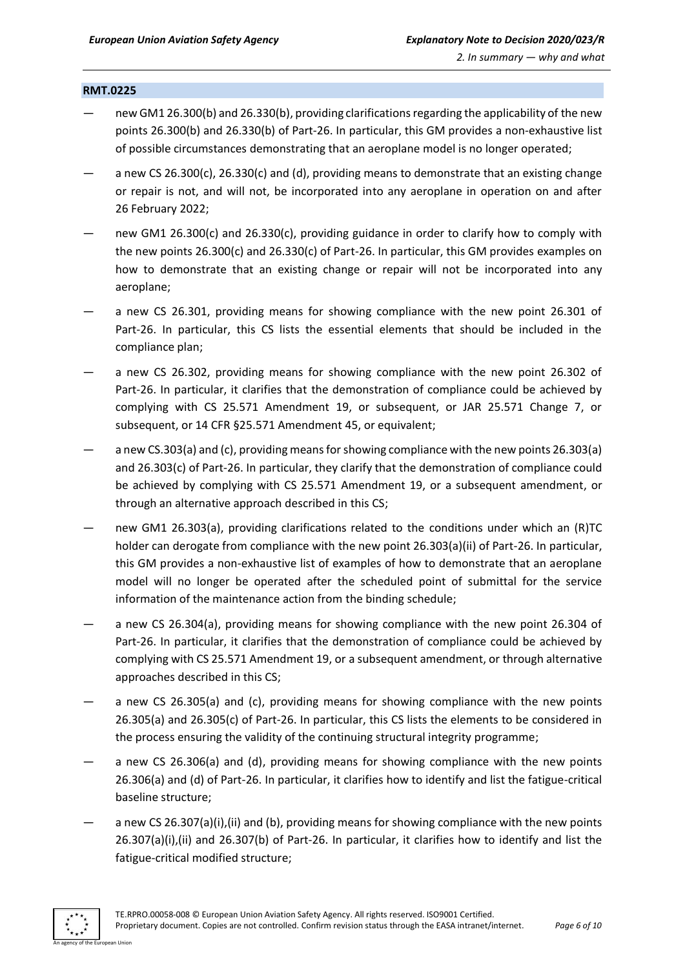#### **RMT.0225**

- new GM1 26.300(b) and 26.330(b), providing clarifications regarding the applicability of the new points 26.300(b) and 26.330(b) of Part-26. In particular, this GM provides a non-exhaustive list of possible circumstances demonstrating that an aeroplane model is no longer operated;
- a new CS 26.300(c), 26.330(c) and (d), providing means to demonstrate that an existing change or repair is not, and will not, be incorporated into any aeroplane in operation on and after 26 February 2022;
- new GM1 26.300(c) and 26.330(c), providing guidance in order to clarify how to comply with the new points 26.300(c) and 26.330(c) of Part-26. In particular, this GM provides examples on how to demonstrate that an existing change or repair will not be incorporated into any aeroplane;
- a new CS 26.301, providing means for showing compliance with the new point 26.301 of Part-26. In particular, this CS lists the essential elements that should be included in the compliance plan;
- a new CS 26.302, providing means for showing compliance with the new point 26.302 of Part-26. In particular, it clarifies that the demonstration of compliance could be achieved by complying with CS 25.571 Amendment 19, or subsequent, or JAR 25.571 Change 7, or subsequent, or 14 CFR §25.571 Amendment 45, or equivalent;
- a new CS.303(a) and (c), providing means for showing compliance with the new points 26.303(a) and 26.303(c) of Part-26. In particular, they clarify that the demonstration of compliance could be achieved by complying with CS 25.571 Amendment 19, or a subsequent amendment, or through an alternative approach described in this CS;
- new GM1 26.303(a), providing clarifications related to the conditions under which an (R)TC holder can derogate from compliance with the new point 26.303(a)(ii) of Part-26. In particular, this GM provides a non-exhaustive list of examples of how to demonstrate that an aeroplane model will no longer be operated after the scheduled point of submittal for the service information of the maintenance action from the binding schedule;
- a new CS 26.304(a), providing means for showing compliance with the new point 26.304 of Part-26. In particular, it clarifies that the demonstration of compliance could be achieved by complying with CS 25.571 Amendment 19, or a subsequent amendment, or through alternative approaches described in this CS;
- a new CS 26.305(a) and (c), providing means for showing compliance with the new points 26.305(a) and 26.305(c) of Part-26. In particular, this CS lists the elements to be considered in the process ensuring the validity of the continuing structural integrity programme;
- a new CS 26.306(a) and (d), providing means for showing compliance with the new points 26.306(a) and (d) of Part-26. In particular, it clarifies how to identify and list the fatigue-critical baseline structure;
- a new CS 26.307(a)(i),(ii) and (b), providing means for showing compliance with the new points 26.307(a)(i),(ii) and 26.307(b) of Part-26. In particular, it clarifies how to identify and list the fatigue-critical modified structure;

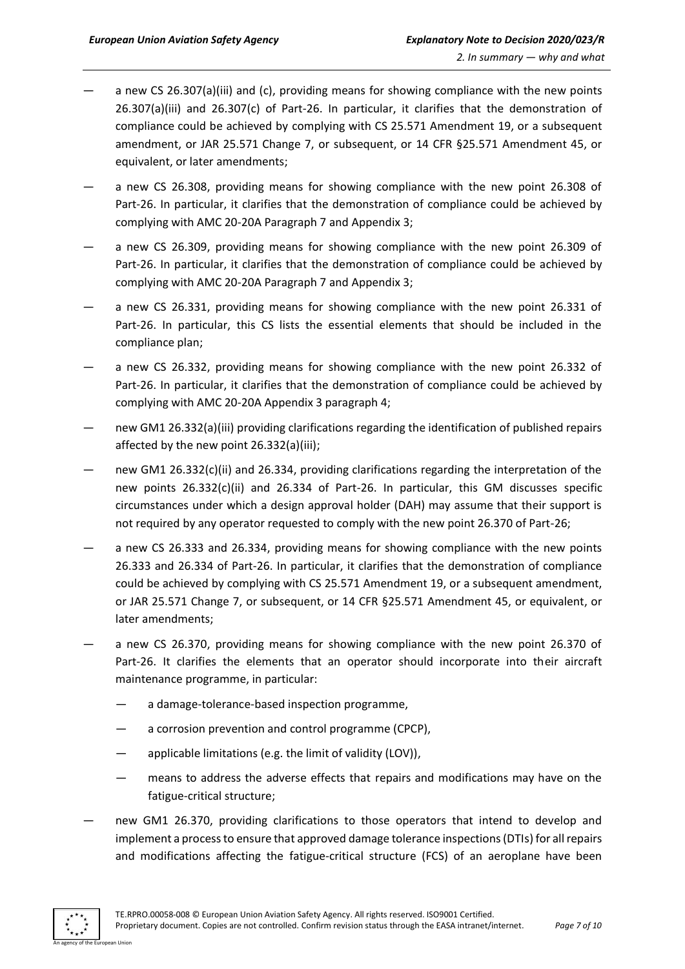- a new CS 26.307(a)(iii) and (c), providing means for showing compliance with the new points 26.307(a)(iii) and 26.307(c) of Part-26. In particular, it clarifies that the demonstration of compliance could be achieved by complying with CS 25.571 Amendment 19, or a subsequent amendment, or JAR 25.571 Change 7, or subsequent, or 14 CFR §25.571 Amendment 45, or equivalent, or later amendments;
- a new CS 26.308, providing means for showing compliance with the new point 26.308 of Part-26. In particular, it clarifies that the demonstration of compliance could be achieved by complying with AMC 20-20A Paragraph 7 and Appendix 3;
- a new CS 26.309, providing means for showing compliance with the new point 26.309 of Part-26. In particular, it clarifies that the demonstration of compliance could be achieved by complying with AMC 20-20A Paragraph 7 and Appendix 3;
- a new CS 26.331, providing means for showing compliance with the new point 26.331 of Part-26. In particular, this CS lists the essential elements that should be included in the compliance plan;
- a new CS 26.332, providing means for showing compliance with the new point 26.332 of Part-26. In particular, it clarifies that the demonstration of compliance could be achieved by complying with AMC 20-20A Appendix 3 paragraph 4;
- new GM1 26.332(a)(iii) providing clarifications regarding the identification of published repairs affected by the new point 26.332(a)(iii);
- new GM1 26.332(c)(ii) and 26.334, providing clarifications regarding the interpretation of the new points 26.332(c)(ii) and 26.334 of Part-26. In particular, this GM discusses specific circumstances under which a design approval holder (DAH) may assume that their support is not required by any operator requested to comply with the new point 26.370 of Part-26;
- a new CS 26.333 and 26.334, providing means for showing compliance with the new points 26.333 and 26.334 of Part-26. In particular, it clarifies that the demonstration of compliance could be achieved by complying with CS 25.571 Amendment 19, or a subsequent amendment, or JAR 25.571 Change 7, or subsequent, or 14 CFR §25.571 Amendment 45, or equivalent, or later amendments;
- a new CS 26.370, providing means for showing compliance with the new point 26.370 of Part-26. It clarifies the elements that an operator should incorporate into their aircraft maintenance programme, in particular:
	- a damage-tolerance-based inspection programme,
	- a corrosion prevention and control programme (CPCP),
	- applicable limitations (e.g. the limit of validity (LOV)),
	- means to address the adverse effects that repairs and modifications may have on the fatigue-critical structure;
- new GM1 26.370, providing clarifications to those operators that intend to develop and implement a process to ensure that approved damage tolerance inspections (DTIs) for all repairs and modifications affecting the fatigue-critical structure (FCS) of an aeroplane have been

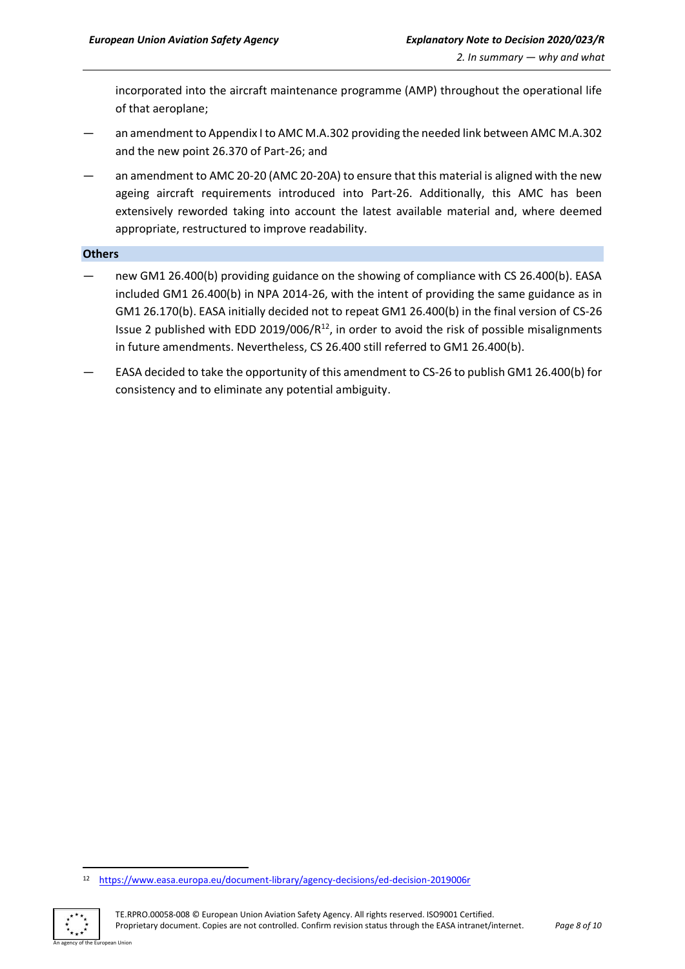incorporated into the aircraft maintenance programme (AMP) throughout the operational life of that aeroplane;

- an amendment to Appendix I to AMC M.A.302 providing the needed link between AMC M.A.302 and the new point 26.370 of Part-26; and
- an amendment to AMC 20-20 (AMC 20-20A) to ensure that this material is aligned with the new ageing aircraft requirements introduced into Part-26. Additionally, this AMC has been extensively reworded taking into account the latest available material and, where deemed appropriate, restructured to improve readability.

### **Others**

- new GM1 26.400(b) providing guidance on the showing of compliance with CS 26.400(b). EASA included GM1 26.400(b) in NPA 2014-26, with the intent of providing the same guidance as in GM1 26.170(b). EASA initially decided not to repeat GM1 26.400(b) in the final version of CS-26 Issue 2 published with EDD 2019/006/ $R^{12}$ , in order to avoid the risk of possible misalignments in future amendments. Nevertheless, CS 26.400 still referred to GM1 26.400(b).
- EASA decided to take the opportunity of this amendment to CS-26 to publish GM1 26.400(b) for consistency and to eliminate any potential ambiguity.

<sup>12</sup> <https://www.easa.europa.eu/document-library/agency-decisions/ed-decision-2019006r>

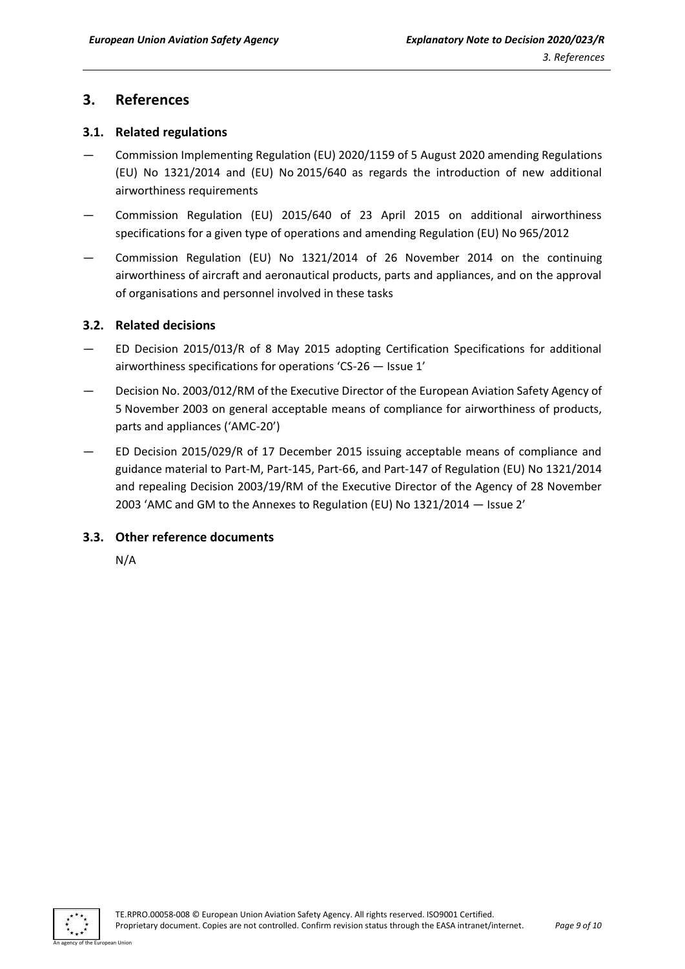# <span id="page-8-0"></span>**3. References**

## <span id="page-8-1"></span>**3.1. Related regulations**

- Commission Implementing Regulation (EU) 2020/1159 of 5 August 2020 amending Regulations (EU) No 1321/2014 and (EU) No 2015/640 as regards the introduction of new additional airworthiness requirements
- Commission Regulation (EU) 2015/640 of 23 April 2015 on additional airworthiness specifications for a given type of operations and amending Regulation (EU) No 965/2012
- Commission Regulation (EU) No 1321/2014 of 26 November 2014 on the continuing airworthiness of aircraft and aeronautical products, parts and appliances, and on the approval of organisations and personnel involved in these tasks

## <span id="page-8-2"></span>**3.2. Related decisions**

- ED Decision 2015/013/R of 8 May 2015 adopting Certification Specifications for additional airworthiness specifications for operations 'CS-26 — Issue 1'
- Decision No. 2003/012/RM of the Executive Director of the European Aviation Safety Agency of 5 November 2003 on general acceptable means of compliance for airworthiness of products, parts and appliances ('AMC-20')
- ED Decision 2015/029/R of 17 December 2015 issuing acceptable means of compliance and guidance material to Part-M, Part-145, Part-66, and Part-147 of Regulation (EU) No 1321/2014 and repealing Decision 2003/19/RM of the Executive Director of the Agency of 28 November 2003 'AMC and GM to the Annexes to Regulation (EU) No 1321/2014 — Issue 2'

## <span id="page-8-3"></span>**3.3. Other reference documents**

N/A